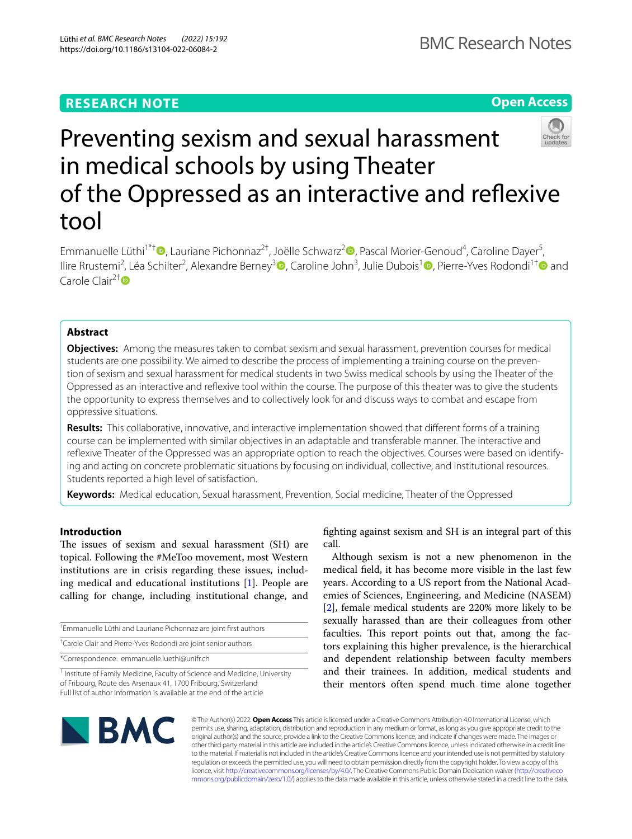# **RESEARCH NOTE**

**Open Access**

# Preventing sexism and sexual harassment in medical schools by using Theater of the Oppressed as an interactive and refexive tool

Emmanuelle Lüthi<sup>1\*[†](http://orcid.org/0000-0002-6039-4158)</sup> <sup>D</sup>, Lauriane Pichonnaz<sup>[2](http://orcid.org/0000-0002-0992-3165)†</sup>, Joëlle Schwarz<sup>2</sup> D, Pascal Morier-Genoud<sup>4</sup>, Caroline Dayer<sup>5</sup>, Ilire Rrustemi<sup>2</sup>[,](http://orcid.org/0000-0001-9535-1222) Léa Schilter<sup>2</sup>, Alexandre Berney<sup>3</sup>®, Caroline John<sup>3</sup>, Julie Dubois<sup>[1](http://orcid.org/0000-0001-9241-0231)</sup>®, Pierre-Yves Rodondi<sup>1†</sup>® and Carole Clair<sup>2†</sup>

# **Abstract**

**Objectives:** Among the measures taken to combat sexism and sexual harassment, prevention courses for medical students are one possibility. We aimed to describe the process of implementing a training course on the prevention of sexism and sexual harassment for medical students in two Swiss medical schools by using the Theater of the Oppressed as an interactive and refexive tool within the course. The purpose of this theater was to give the students the opportunity to express themselves and to collectively look for and discuss ways to combat and escape from oppressive situations.

**Results:** This collaborative, innovative, and interactive implementation showed that diferent forms of a training course can be implemented with similar objectives in an adaptable and transferable manner. The interactive and reflexive Theater of the Oppressed was an appropriate option to reach the objectives. Courses were based on identifying and acting on concrete problematic situations by focusing on individual, collective, and institutional resources. Students reported a high level of satisfaction.

**Keywords:** Medical education, Sexual harassment, Prevention, Social medicine, Theater of the Oppressed

# **Introduction**

The issues of sexism and sexual harassment (SH) are topical. Following the #MeToo movement, most Western institutions are in crisis regarding these issues, including medical and educational institutions [[1\]](#page-5-0). People are calling for change, including institutional change, and

† Emmanuelle Lüthi and Lauriane Pichonnaz are joint frst authors † Carole Clair and Pierre-Yves Rodondi are joint senior authors \*Correspondence: emmanuelle.luethi@unifr.ch

<sup>1</sup> Institute of Family Medicine, Faculty of Science and Medicine, University of Fribourg, Route des Arsenaux 41, 1700 Fribourg, Switzerland Full list of author information is available at the end of the article

fghting against sexism and SH is an integral part of this call.

Although sexism is not a new phenomenon in the medical feld, it has become more visible in the last few years. According to a US report from the National Academies of Sciences, Engineering, and Medicine (NASEM) [[2\]](#page-5-1), female medical students are 220% more likely to be sexually harassed than are their colleagues from other faculties. This report points out that, among the factors explaining this higher prevalence, is the hierarchical and dependent relationship between faculty members and their trainees. In addition, medical students and their mentors often spend much time alone together



© The Author(s) 2022. **Open Access** This article is licensed under a Creative Commons Attribution 4.0 International License, which permits use, sharing, adaptation, distribution and reproduction in any medium or format, as long as you give appropriate credit to the original author(s) and the source, provide a link to the Creative Commons licence, and indicate if changes were made. The images or other third party material in this article are included in the article's Creative Commons licence, unless indicated otherwise in a credit line to the material. If material is not included in the article's Creative Commons licence and your intended use is not permitted by statutory regulation or exceeds the permitted use, you will need to obtain permission directly from the copyright holder. To view a copy of this licence, visit [http://creativecommons.org/licenses/by/4.0/.](http://creativecommons.org/licenses/by/4.0/) The Creative Commons Public Domain Dedication waiver ([http://creativeco](http://creativecommons.org/publicdomain/zero/1.0/) [mmons.org/publicdomain/zero/1.0/](http://creativecommons.org/publicdomain/zero/1.0/)) applies to the data made available in this article, unless otherwise stated in a credit line to the data.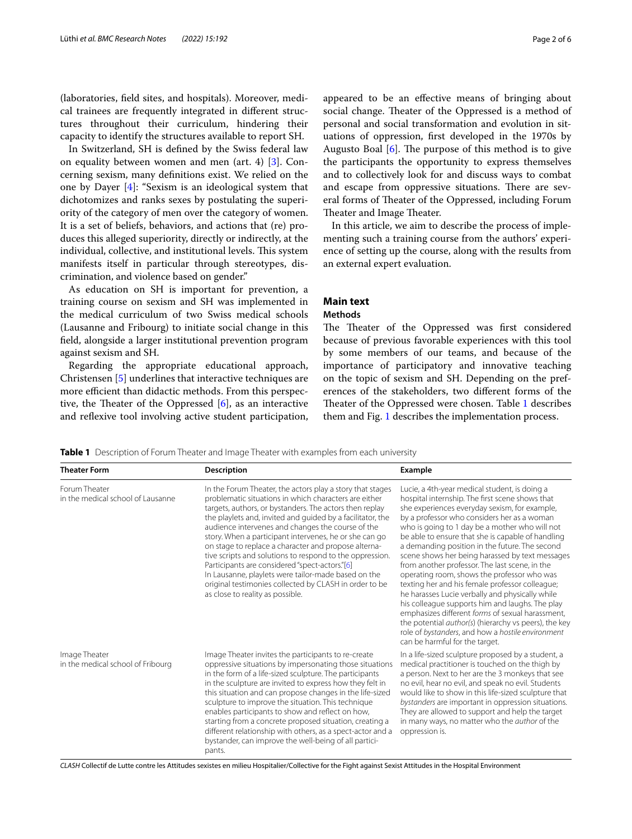(laboratories, feld sites, and hospitals). Moreover, medical trainees are frequently integrated in diferent structures throughout their curriculum, hindering their capacity to identify the structures available to report SH.

In Switzerland, SH is defned by the Swiss federal law on equality between women and men (art. 4) [[3\]](#page-5-2). Concerning sexism, many defnitions exist. We relied on the one by Dayer [\[4\]](#page-5-3): "Sexism is an ideological system that dichotomizes and ranks sexes by postulating the superiority of the category of men over the category of women. It is a set of beliefs, behaviors, and actions that (re) produces this alleged superiority, directly or indirectly, at the individual, collective, and institutional levels. This system manifests itself in particular through stereotypes, discrimination, and violence based on gender."

As education on SH is important for prevention, a training course on sexism and SH was implemented in the medical curriculum of two Swiss medical schools (Lausanne and Fribourg) to initiate social change in this feld, alongside a larger institutional prevention program against sexism and SH.

Regarding the appropriate educational approach, Christensen [\[5](#page-5-4)] underlines that interactive techniques are more efficient than didactic methods. From this perspective, the Theater of the Oppressed  $[6]$  $[6]$ , as an interactive and reflexive tool involving active student participation, appeared to be an efective means of bringing about social change. Theater of the Oppressed is a method of personal and social transformation and evolution in situations of oppression, frst developed in the 1970s by Augusto Boal  $[6]$  $[6]$ . The purpose of this method is to give the participants the opportunity to express themselves and to collectively look for and discuss ways to combat and escape from oppressive situations. There are several forms of Theater of the Oppressed, including Forum Theater and Image Theater.

In this article, we aim to describe the process of implementing such a training course from the authors' experience of setting up the course, along with the results from an external expert evaluation.

# **Main text**

# **Methods**

The Theater of the Oppressed was first considered because of previous favorable experiences with this tool by some members of our teams, and because of the importance of participatory and innovative teaching on the topic of sexism and SH. Depending on the preferences of the stakeholders, two diferent forms of the Theater of the Oppressed were chosen. Table [1](#page-1-0) describes them and Fig. [1](#page-2-0) describes the implementation process.

<span id="page-1-0"></span>**Table 1** Description of Forum Theater and Image Theater with examples from each university

| <b>Theater Form</b>                                | <b>Description</b>                                                                                                                                                                                                                                                                                                                                                                                                                                                                                                                                                                                                                                                                    | Example                                                                                                                                                                                                                                                                                                                                                                                                                                                                                                                                                                                                                                                                                                                                                                                                                                                                           |
|----------------------------------------------------|---------------------------------------------------------------------------------------------------------------------------------------------------------------------------------------------------------------------------------------------------------------------------------------------------------------------------------------------------------------------------------------------------------------------------------------------------------------------------------------------------------------------------------------------------------------------------------------------------------------------------------------------------------------------------------------|-----------------------------------------------------------------------------------------------------------------------------------------------------------------------------------------------------------------------------------------------------------------------------------------------------------------------------------------------------------------------------------------------------------------------------------------------------------------------------------------------------------------------------------------------------------------------------------------------------------------------------------------------------------------------------------------------------------------------------------------------------------------------------------------------------------------------------------------------------------------------------------|
| Forum Theater<br>in the medical school of Lausanne | In the Forum Theater, the actors play a story that stages<br>problematic situations in which characters are either<br>targets, authors, or bystanders. The actors then replay<br>the playlets and, invited and quided by a facilitator, the<br>audience intervenes and changes the course of the<br>story. When a participant intervenes, he or she can go<br>on stage to replace a character and propose alterna-<br>tive scripts and solutions to respond to the oppression.<br>Participants are considered "spect-actors."[6]<br>In Lausanne, playlets were tailor-made based on the<br>original testimonies collected by CLASH in order to be<br>as close to reality as possible. | Lucie, a 4th-year medical student, is doing a<br>hospital internship. The first scene shows that<br>she experiences everyday sexism, for example,<br>by a professor who considers her as a woman<br>who is going to 1 day be a mother who will not<br>be able to ensure that she is capable of handling<br>a demanding position in the future. The second<br>scene shows her being harassed by text messages<br>from another professor. The last scene, in the<br>operating room, shows the professor who was<br>texting her and his female professor colleague;<br>he harasses Lucie verbally and physically while<br>his colleague supports him and laughs. The play<br>emphasizes different forms of sexual harassment,<br>the potential <i>author(s)</i> (hierarchy vs peers), the key<br>role of bystanders, and how a hostile environment<br>can be harmful for the target. |
| Image Theater<br>in the medical school of Fribourg | Image Theater invites the participants to re-create<br>oppressive situations by impersonating those situations<br>in the form of a life-sized sculpture. The participants<br>in the sculpture are invited to express how they felt in<br>this situation and can propose changes in the life-sized<br>sculpture to improve the situation. This technique<br>enables participants to show and reflect on how,<br>starting from a concrete proposed situation, creating a<br>different relationship with others, as a spect-actor and a<br>bystander, can improve the well-being of all partici-<br>pants.                                                                               | In a life-sized sculpture proposed by a student, a<br>medical practitioner is touched on the thigh by<br>a person. Next to her are the 3 monkeys that see<br>no evil, hear no evil, and speak no evil. Students<br>would like to show in this life-sized sculpture that<br>bystanders are important in oppression situations.<br>They are allowed to support and help the target<br>in many ways, no matter who the <i>author</i> of the<br>oppression is.                                                                                                                                                                                                                                                                                                                                                                                                                        |

*CLASH* Collectif de Lutte contre les Attitudes sexistes en milieu Hospitalier/Collective for the Fight against Sexist Attitudes in the Hospital Environment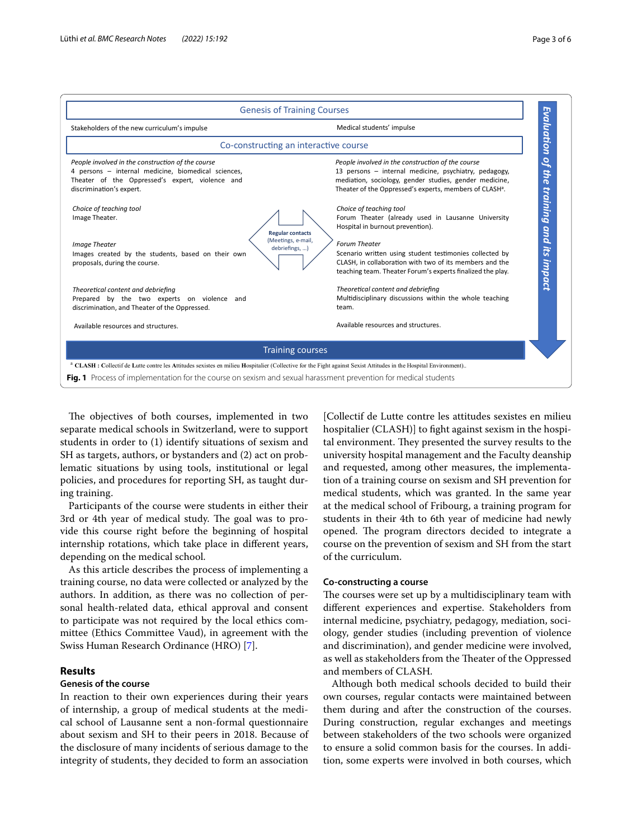

<span id="page-2-0"></span>The objectives of both courses, implemented in two separate medical schools in Switzerland, were to support students in order to (1) identify situations of sexism and SH as targets, authors, or bystanders and (2) act on problematic situations by using tools, institutional or legal policies, and procedures for reporting SH, as taught during training.

Participants of the course were students in either their 3rd or 4th year of medical study. The goal was to provide this course right before the beginning of hospital internship rotations, which take place in diferent years, depending on the medical school.

As this article describes the process of implementing a training course, no data were collected or analyzed by the authors. In addition, as there was no collection of personal health-related data, ethical approval and consent to participate was not required by the local ethics committee (Ethics Committee Vaud), in agreement with the Swiss Human Research Ordinance (HRO) [[7](#page-5-6)].

# **Results**

# **Genesis of the course**

In reaction to their own experiences during their years of internship, a group of medical students at the medical school of Lausanne sent a non-formal questionnaire about sexism and SH to their peers in 2018. Because of the disclosure of many incidents of serious damage to the integrity of students, they decided to form an association

[Collectif de Lutte contre les attitudes sexistes en milieu hospitalier (CLASH)] to fight against sexism in the hospital environment. They presented the survey results to the university hospital management and the Faculty deanship and requested, among other measures, the implementation of a training course on sexism and SH prevention for medical students, which was granted. In the same year at the medical school of Fribourg, a training program for students in their 4th to 6th year of medicine had newly opened. The program directors decided to integrate a course on the prevention of sexism and SH from the start of the curriculum.

# **Co‑constructing a course**

The courses were set up by a multidisciplinary team with diferent experiences and expertise. Stakeholders from internal medicine, psychiatry, pedagogy, mediation, sociology, gender studies (including prevention of violence and discrimination), and gender medicine were involved, as well as stakeholders from the Theater of the Oppressed and members of CLASH.

Although both medical schools decided to build their own courses, regular contacts were maintained between them during and after the construction of the courses. During construction, regular exchanges and meetings between stakeholders of the two schools were organized to ensure a solid common basis for the courses. In addition, some experts were involved in both courses, which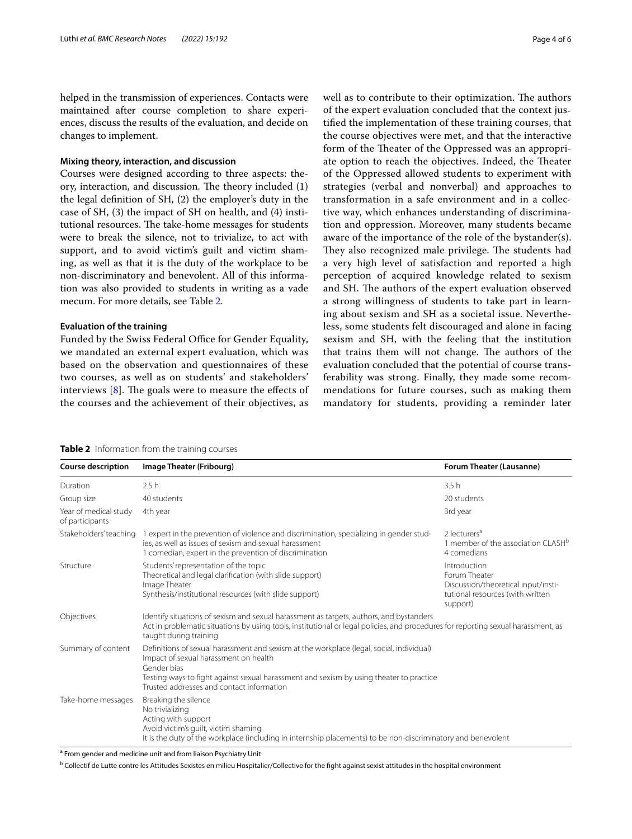helped in the transmission of experiences. Contacts were maintained after course completion to share experiences, discuss the results of the evaluation, and decide on changes to implement.

# **Mixing theory, interaction, and discussion**

Courses were designed according to three aspects: theory, interaction, and discussion. The theory included  $(1)$ the legal defnition of SH, (2) the employer's duty in the case of SH, (3) the impact of SH on health, and (4) institutional resources. The take-home messages for students were to break the silence, not to trivialize, to act with support, and to avoid victim's guilt and victim shaming, as well as that it is the duty of the workplace to be non-discriminatory and benevolent. All of this information was also provided to students in writing as a vade mecum. For more details, see Table [2.](#page-3-0)

# **Evaluation of the training**

Funded by the Swiss Federal Office for Gender Equality, we mandated an external expert evaluation, which was based on the observation and questionnaires of these two courses, as well as on students' and stakeholders' interviews  $[8]$  $[8]$ . The goals were to measure the effects of the courses and the achievement of their objectives, as well as to contribute to their optimization. The authors of the expert evaluation concluded that the context justifed the implementation of these training courses, that the course objectives were met, and that the interactive form of the Theater of the Oppressed was an appropriate option to reach the objectives. Indeed, the Theater of the Oppressed allowed students to experiment with strategies (verbal and nonverbal) and approaches to transformation in a safe environment and in a collective way, which enhances understanding of discrimination and oppression. Moreover, many students became aware of the importance of the role of the bystander(s). They also recognized male privilege. The students had a very high level of satisfaction and reported a high perception of acquired knowledge related to sexism and SH. The authors of the expert evaluation observed a strong willingness of students to take part in learning about sexism and SH as a societal issue. Nevertheless, some students felt discouraged and alone in facing sexism and SH, with the feeling that the institution that trains them will not change. The authors of the evaluation concluded that the potential of course transferability was strong. Finally, they made some recommendations for future courses, such as making them

mandatory for students, providing a reminder later

#### <span id="page-3-0"></span>**Table 2** Information from the training courses

**Course description Image Theater (Fribourg) Forum Theater (Lausanne) Forum Theater (Lausanne) Forum Theater (Lausanne)**  $D$ uration  $2.5 \text{ h}$  3.5 h Group size 40 students 20 students Year of medical study of participants 4th year 3rd year Stakeholders' teaching 1 expert in the prevention of violence and discrimination, specializing in gender studies, as well as issues of sexism and sexual harassment 1 comedian, expert in the prevention of discrimination 2 lecturers<sup>a</sup> 1 member of the association CLASH<sup>b</sup> 4 comedians Structure Students' representation of the topic Theoretical and legal clarifcation (with slide support) Image Theater Synthesis/institutional resources (with slide support) Introduction Forum Theater Discussion/theoretical input/insti‑ tutional resources (with written support) Objectives Identify situations of sexism and sexual harassment as targets, authors, and bystanders Act in problematic situations by using tools, institutional or legal policies, and procedures for reporting sexual harassment, as taught during training Summary of content Defnitions of sexual harassment and sexism at the workplace (legal, social, individual) Impact of sexual harassment on health Gender bias Testing ways to fight against sexual harassment and sexism by using theater to practice Trusted addresses and contact information Take-home messages Breaking the silence No trivializing Acting with support Avoid victim's guilt, victim shaming It is the duty of the workplace (including in internship placements) to be non-discriminatory and benevolent

<sup>a</sup> From gender and medicine unit and from liaison Psychiatry Unit

<sup>b</sup> Collectif de Lutte contre les Attitudes Sexistes en milieu Hospitalier/Collective for the fight against sexist attitudes in the hospital environment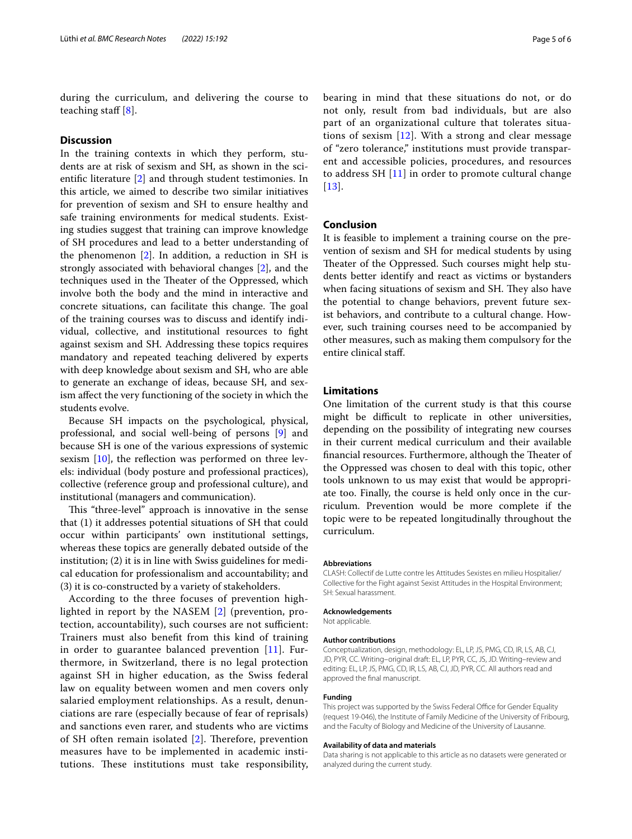during the curriculum, and delivering the course to teaching staff  $[8]$  $[8]$ .

# **Discussion**

In the training contexts in which they perform, students are at risk of sexism and SH, as shown in the scientifc literature [\[2](#page-5-1)] and through student testimonies. In this article, we aimed to describe two similar initiatives for prevention of sexism and SH to ensure healthy and safe training environments for medical students. Existing studies suggest that training can improve knowledge of SH procedures and lead to a better understanding of the phenomenon [\[2](#page-5-1)]. In addition, a reduction in SH is strongly associated with behavioral changes [\[2](#page-5-1)], and the techniques used in the Theater of the Oppressed, which involve both the body and the mind in interactive and concrete situations, can facilitate this change. The goal of the training courses was to discuss and identify individual, collective, and institutional resources to fght against sexism and SH. Addressing these topics requires mandatory and repeated teaching delivered by experts with deep knowledge about sexism and SH, who are able to generate an exchange of ideas, because SH, and sexism afect the very functioning of the society in which the students evolve.

Because SH impacts on the psychological, physical, professional, and social well-being of persons [\[9](#page-5-8)] and because SH is one of the various expressions of systemic sexism  $[10]$  $[10]$ , the reflection was performed on three levels: individual (body posture and professional practices), collective (reference group and professional culture), and institutional (managers and communication).

This "three-level" approach is innovative in the sense that (1) it addresses potential situations of SH that could occur within participants' own institutional settings, whereas these topics are generally debated outside of the institution; (2) it is in line with Swiss guidelines for medical education for professionalism and accountability; and (3) it is co-constructed by a variety of stakeholders.

According to the three focuses of prevention highlighted in report by the NASEM [[2](#page-5-1)] (prevention, protection, accountability), such courses are not sufficient: Trainers must also beneft from this kind of training in order to guarantee balanced prevention  $[11]$ . Furthermore, in Switzerland, there is no legal protection against SH in higher education, as the Swiss federal law on equality between women and men covers only salaried employment relationships. As a result, denunciations are rare (especially because of fear of reprisals) and sanctions even rarer, and students who are victims of SH often remain isolated  $[2]$  $[2]$ . Therefore, prevention measures have to be implemented in academic institutions. These institutions must take responsibility, bearing in mind that these situations do not, or do not only, result from bad individuals, but are also part of an organizational culture that tolerates situations of sexism [[12](#page-5-11)]. With a strong and clear message of "zero tolerance," institutions must provide transparent and accessible policies, procedures, and resources to address SH  $[11]$  $[11]$  in order to promote cultural change [[13](#page-5-12)].

# **Conclusion**

It is feasible to implement a training course on the prevention of sexism and SH for medical students by using Theater of the Oppressed. Such courses might help students better identify and react as victims or bystanders when facing situations of sexism and SH. They also have the potential to change behaviors, prevent future sexist behaviors, and contribute to a cultural change. However, such training courses need to be accompanied by other measures, such as making them compulsory for the entire clinical staf.

# **Limitations**

One limitation of the current study is that this course might be difficult to replicate in other universities, depending on the possibility of integrating new courses in their current medical curriculum and their available financial resources. Furthermore, although the Theater of the Oppressed was chosen to deal with this topic, other tools unknown to us may exist that would be appropriate too. Finally, the course is held only once in the curriculum. Prevention would be more complete if the topic were to be repeated longitudinally throughout the curriculum.

#### **Abbreviations**

CLASH: Collectif de Lutte contre les Attitudes Sexistes en milieu Hospitalier/ Collective for the Fight against Sexist Attitudes in the Hospital Environment; SH: Sexual harassment.

#### **Acknowledgements**

Not applicable.

#### **Author contributions**

Conceptualization, design, methodology: EL, LP, JS, PMG, CD, IR, LS, AB, CJ, JD, PYR, CC. Writing–original draft: EL, LP, PYR, CC, JS, JD. Writing–review and editing: EL, LP, JS, PMG, CD, IR, LS, AB, CJ, JD, PYR, CC. All authors read and approved the fnal manuscript.

#### **Funding**

This project was supported by the Swiss Federal Office for Gender Equality (request 19-046), the Institute of Family Medicine of the University of Fribourg, and the Faculty of Biology and Medicine of the University of Lausanne.

#### **Availability of data and materials**

Data sharing is not applicable to this article as no datasets were generated or analyzed during the current study.